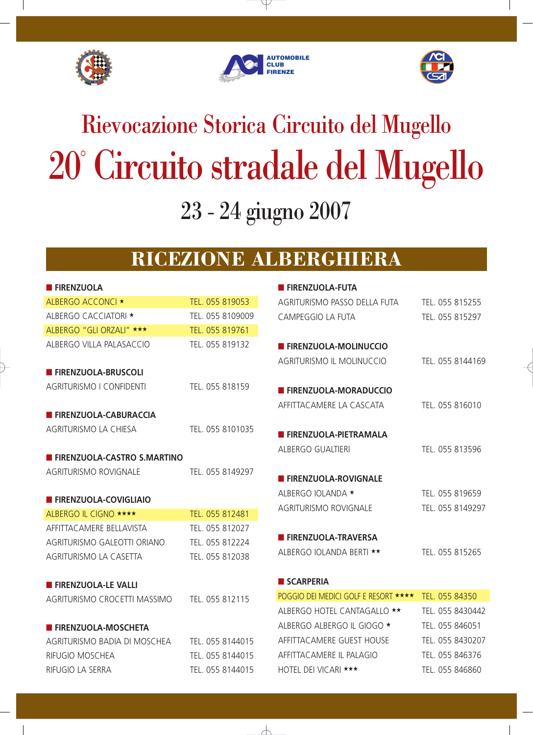





# 20° Circuito stradale del Mugello 23 - 24 giugno 2007 Rievocazione Storica Circuito del Mugello

## **RICEZIONE ALBERGHIERA**

 $\forall$ 

| <b>FIRENZUOLA</b>                             |                  |
|-----------------------------------------------|------------------|
| ALBERGO ACCONCI ★                             | TEL. 055 819053  |
| ALBERGO CACCIATORI ★                          | TEL. 055 8109009 |
| ALBERGO "GLI ORZALI" ***                      | TEL. 055 819761  |
| ALBERGO VILLA PALASACCIO                      | TEL. 055 819132  |
| <b>FIRENZUOLA-BRUSCOLI</b>                    |                  |
| AGRITURISMO I CONFIDENTI                      | TEL. 055 818159  |
| <b>FIRENZUOLA-CABURACCIA</b>                  |                  |
| AGRITURISMO LA CHIESA                         | TEL. 055 8101035 |
| <b>FIRENZUOLA-CASTRO S.MARTINO</b>            |                  |
| <b>AGRITURISMO ROVIGNALE</b>                  | TEL. 055 8149297 |
| <b>FIRENZUOLA-COVIGLIAIO</b>                  |                  |
| ALBERGO IL CIGNO <b>****</b>                  | TEL. 055 812481  |
| AFFITTACAMERE BELLAVISTA                      | TEL. 055 812027  |
| AGRITURISMO GALEOTTI ORIANO                   | TEL. 055 812224  |
| <b>AGRITURISMO LA CASETTA</b>                 | TEL. 055 812038  |
| <b>FIRENZUOLA-LE VALLI</b>                    |                  |
| AGRITURISMO CROCETTI MASSIMO TEL. 055 812115  |                  |
| <b>FIRENZUOLA-MOSCHETA</b>                    |                  |
| AGRITURISMO BADIA DI MOSCHEA TEL. 055 8144015 |                  |
| RIFUGIO MOSCHEA                               | TEL. 055 8144015 |
| RIFUGIO LA SERRA                              | TEL. 055 8144015 |

| <b>FIRENZUOLA-FUTA</b>               |                  |
|--------------------------------------|------------------|
| AGRITURISMO PASSO DELLA FUTA         | TEL. 055 815255  |
| CAMPEGGIO LA FUTA                    | TEL. 055 815297  |
| <b>E FIRENZUOLA-MOLINUCCIO</b>       |                  |
| AGRITURISMO IL MOLINUCCIO            | TEL. 055 8144169 |
| <b>FIRENZUOLA-MORADUCCIO</b>         |                  |
| AFFITTACAMERE LA CASCATA             | TFL 055 816010   |
| <b>FIRENZUOLA-PIETRAMALA</b>         |                  |
| <b>ALBERGO GUALTIERI</b>             | TEL. 055 813596  |
| <b>FIRENZUOLA-ROVIGNALE</b>          |                  |
| ALBERGO IOLANDA ★                    | TEL. 055 819659  |
| <b>AGRITURISMO ROVIGNALE</b>         | TEL. 055 8149297 |
| <b>FIRENZUOLA-TRAVERSA</b>           |                  |
| ALBERGO IOLANDA BERTI **             | TEL. 055 815265  |
| SCARPERIA                            |                  |
| POGGIO DEI MEDICI GOLF E RESORT ★★★★ | TEL. 055 84350   |
| ALBERGO HOTEL CANTAGALLO **          | TEL. 055 8430442 |

| ALBERGO HOTEL CANTAGALLO ★★        | TFL 055 8430442 |
|------------------------------------|-----------------|
| ALBERGO ALBERGO IL GIOGO $\star$   | TEL. 055 846051 |
| AFFITTAC AMFRF GUFST HOUSF         | TFL 055 8430207 |
| AFFITTACAMFRF II PAI AGIO          | TFL 055 846376  |
| HOTEL DEI VICARI $\star\star\star$ | TEL. 055 846860 |